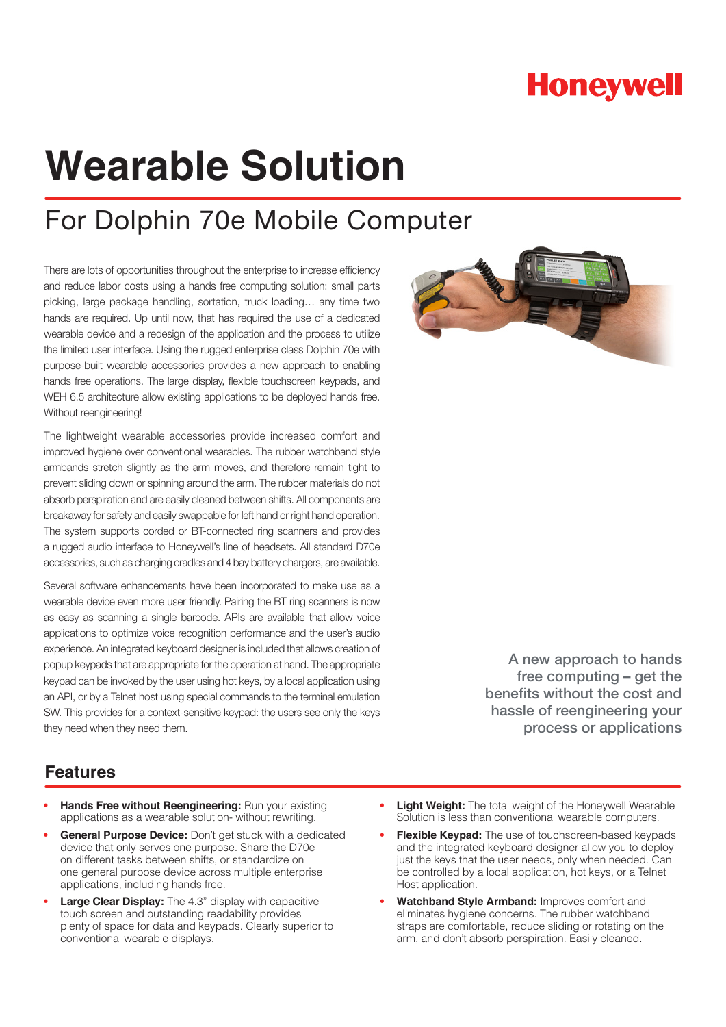## **Honeywell**

# **Wearable Solution**

## For Dolphin 70e Mobile Computer

There are lots of opportunities throughout the enterprise to increase efficiency and reduce labor costs using a hands free computing solution: small parts picking, large package handling, sortation, truck loading… any time two hands are required. Up until now, that has required the use of a dedicated wearable device and a redesign of the application and the process to utilize the limited user interface. Using the rugged enterprise class Dolphin 70e with purpose-built wearable accessories provides a new approach to enabling hands free operations. The large display, flexible touchscreen keypads, and WEH 6.5 architecture allow existing applications to be deployed hands free. Without reengineering!

The lightweight wearable accessories provide increased comfort and improved hygiene over conventional wearables. The rubber watchband style armbands stretch slightly as the arm moves, and therefore remain tight to prevent sliding down or spinning around the arm. The rubber materials do not absorb perspiration and are easily cleaned between shifts. All components are breakaway for safety and easily swappable for left hand or right hand operation. The system supports corded or BT-connected ring scanners and provides a rugged audio interface to Honeywell's line of headsets. All standard D70e accessories, such as charging cradles and 4 bay battery chargers, are available.

Several software enhancements have been incorporated to make use as a wearable device even more user friendly. Pairing the BT ring scanners is now as easy as scanning a single barcode. APIs are available that allow voice applications to optimize voice recognition performance and the user's audio experience. An integrated keyboard designer is included that allows creation of popup keypads that are appropriate for the operation at hand. The appropriate keypad can be invoked by the user using hot keys, by a local application using an API, or by a Telnet host using special commands to the terminal emulation SW. This provides for a context-sensitive keypad: the users see only the keys they need when they need them.



A new approach to hands free computing – get the benefits without the cost and hassle of reengineering your process or applications

#### **Features**

- **• Hands Free without Reengineering:** Run your existing applications as a wearable solution- without rewriting.
- **• General Purpose Device:** Don't get stuck with a dedicated device that only serves one purpose. Share the D70e on different tasks between shifts, or standardize on one general purpose device across multiple enterprise applications, including hands free.
- **• Large Clear Display:** The 4.3" display with capacitive touch screen and outstanding readability provides plenty of space for data and keypads. Clearly superior to conventional wearable displays.
- **• Light Weight:** The total weight of the Honeywell Wearable Solution is less than conventional wearable computers.
- **• Flexible Keypad:** The use of touchscreen-based keypads and the integrated keyboard designer allow you to deploy just the keys that the user needs, only when needed. Can be controlled by a local application, hot keys, or a Telnet Host application.
- **• Watchband Style Armband:** Improves comfort and eliminates hygiene concerns. The rubber watchband straps are comfortable, reduce sliding or rotating on the arm, and don't absorb perspiration. Easily cleaned.